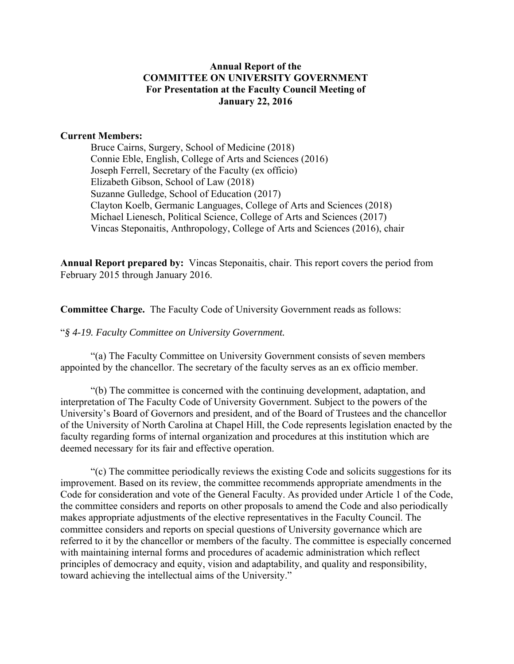## **Annual Report of the COMMITTEE ON UNIVERSITY GOVERNMENT For Presentation at the Faculty Council Meeting of January 22, 2016**

#### **Current Members:**

Bruce Cairns, Surgery, School of Medicine (2018) Connie Eble, English, College of Arts and Sciences (2016) Joseph Ferrell, Secretary of the Faculty (ex officio) Elizabeth Gibson, School of Law (2018) Suzanne Gulledge, School of Education (2017) Clayton Koelb, Germanic Languages, College of Arts and Sciences (2018) Michael Lienesch, Political Science, College of Arts and Sciences (2017) Vincas Steponaitis, Anthropology, College of Arts and Sciences (2016), chair

**Annual Report prepared by:** Vincas Steponaitis, chair. This report covers the period from February 2015 through January 2016.

**Committee Charge.** The Faculty Code of University Government reads as follows:

"*§ 4-19. Faculty Committee on University Government.* 

"(a) The Faculty Committee on University Government consists of seven members appointed by the chancellor. The secretary of the faculty serves as an ex officio member.

"(b) The committee is concerned with the continuing development, adaptation, and interpretation of The Faculty Code of University Government. Subject to the powers of the University's Board of Governors and president, and of the Board of Trustees and the chancellor of the University of North Carolina at Chapel Hill, the Code represents legislation enacted by the faculty regarding forms of internal organization and procedures at this institution which are deemed necessary for its fair and effective operation.

 "(c) The committee periodically reviews the existing Code and solicits suggestions for its improvement. Based on its review, the committee recommends appropriate amendments in the Code for consideration and vote of the General Faculty. As provided under Article 1 of the Code, the committee considers and reports on other proposals to amend the Code and also periodically makes appropriate adjustments of the elective representatives in the Faculty Council. The committee considers and reports on special questions of University governance which are referred to it by the chancellor or members of the faculty. The committee is especially concerned with maintaining internal forms and procedures of academic administration which reflect principles of democracy and equity, vision and adaptability, and quality and responsibility, toward achieving the intellectual aims of the University."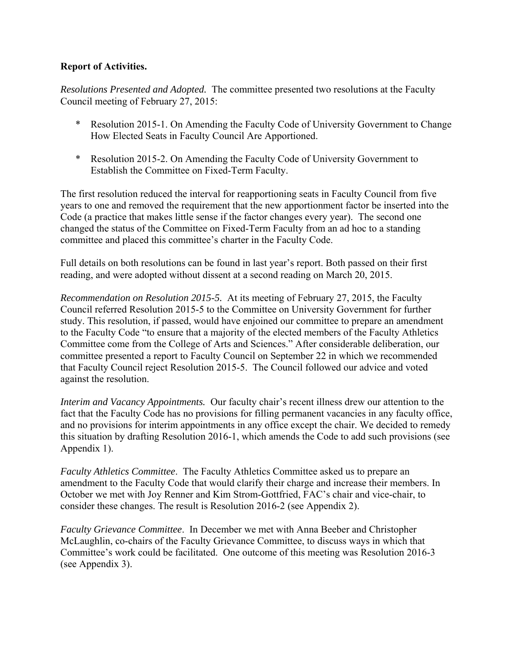# **Report of Activities.**

*Resolutions Presented and Adopted.* The committee presented two resolutions at the Faculty Council meeting of February 27, 2015:

- \* Resolution 2015-1. On Amending the Faculty Code of University Government to Change How Elected Seats in Faculty Council Are Apportioned.
- \* Resolution 2015-2. On Amending the Faculty Code of University Government to Establish the Committee on Fixed-Term Faculty.

The first resolution reduced the interval for reapportioning seats in Faculty Council from five years to one and removed the requirement that the new apportionment factor be inserted into the Code (a practice that makes little sense if the factor changes every year). The second one changed the status of the Committee on Fixed-Term Faculty from an ad hoc to a standing committee and placed this committee's charter in the Faculty Code.

Full details on both resolutions can be found in last year's report. Both passed on their first reading, and were adopted without dissent at a second reading on March 20, 2015.

*Recommendation on Resolution 2015-5.* At its meeting of February 27, 2015, the Faculty Council referred Resolution 2015-5 to the Committee on University Government for further study. This resolution, if passed, would have enjoined our committee to prepare an amendment to the Faculty Code "to ensure that a majority of the elected members of the Faculty Athletics Committee come from the College of Arts and Sciences." After considerable deliberation, our committee presented a report to Faculty Council on September 22 in which we recommended that Faculty Council reject Resolution 2015-5. The Council followed our advice and voted against the resolution.

*Interim and Vacancy Appointments.* Our faculty chair's recent illness drew our attention to the fact that the Faculty Code has no provisions for filling permanent vacancies in any faculty office, and no provisions for interim appointments in any office except the chair. We decided to remedy this situation by drafting Resolution 2016-1, which amends the Code to add such provisions (see Appendix 1).

*Faculty Athletics Committee*. The Faculty Athletics Committee asked us to prepare an amendment to the Faculty Code that would clarify their charge and increase their members. In October we met with Joy Renner and Kim Strom-Gottfried, FAC's chair and vice-chair, to consider these changes. The result is Resolution 2016-2 (see Appendix 2).

*Faculty Grievance Committee*. In December we met with Anna Beeber and Christopher McLaughlin, co-chairs of the Faculty Grievance Committee, to discuss ways in which that Committee's work could be facilitated. One outcome of this meeting was Resolution 2016-3 (see Appendix 3).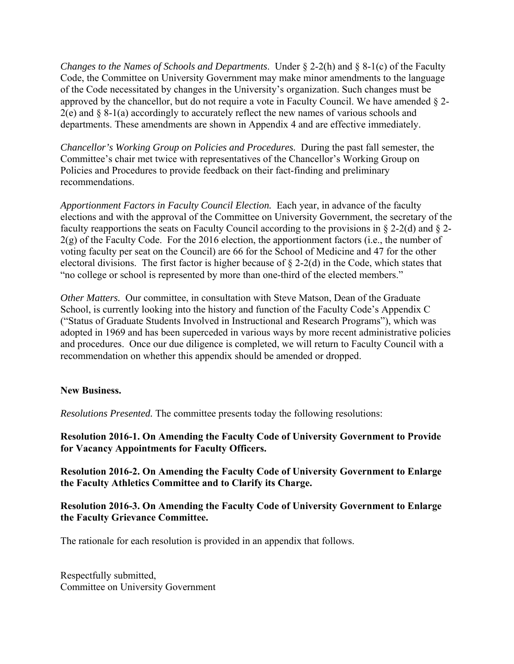*Changes to the Names of Schools and Departments*. Under § 2-2(h) and § 8-1(c) of the Faculty Code, the Committee on University Government may make minor amendments to the language of the Code necessitated by changes in the University's organization. Such changes must be approved by the chancellor, but do not require a vote in Faculty Council. We have amended § 2-  $2(e)$  and § 8-1(a) accordingly to accurately reflect the new names of various schools and departments. These amendments are shown in Appendix 4 and are effective immediately.

*Chancellor's Working Group on Policies and Procedures.* During the past fall semester, the Committee's chair met twice with representatives of the Chancellor's Working Group on Policies and Procedures to provide feedback on their fact-finding and preliminary recommendations.

*Apportionment Factors in Faculty Council Election.* Each year, in advance of the faculty elections and with the approval of the Committee on University Government, the secretary of the faculty reapportions the seats on Faculty Council according to the provisions in § 2-2(d) and § 2-  $2(g)$  of the Faculty Code. For the 2016 election, the apportionment factors (i.e., the number of voting faculty per seat on the Council) are 66 for the School of Medicine and 47 for the other electoral divisions. The first factor is higher because of  $\S$  2-2(d) in the Code, which states that "no college or school is represented by more than one-third of the elected members."

*Other Matters.* Our committee, in consultation with Steve Matson, Dean of the Graduate School, is currently looking into the history and function of the Faculty Code's Appendix C ("Status of Graduate Students Involved in Instructional and Research Programs"), which was adopted in 1969 and has been superceded in various ways by more recent administrative policies and procedures. Once our due diligence is completed, we will return to Faculty Council with a recommendation on whether this appendix should be amended or dropped.

#### **New Business.**

*Resolutions Presented.* The committee presents today the following resolutions:

**Resolution 2016-1. On Amending the Faculty Code of University Government to Provide for Vacancy Appointments for Faculty Officers.**

**Resolution 2016-2. On Amending the Faculty Code of University Government to Enlarge the Faculty Athletics Committee and to Clarify its Charge.**

# **Resolution 2016-3. On Amending the Faculty Code of University Government to Enlarge the Faculty Grievance Committee.**

The rationale for each resolution is provided in an appendix that follows.

Respectfully submitted, Committee on University Government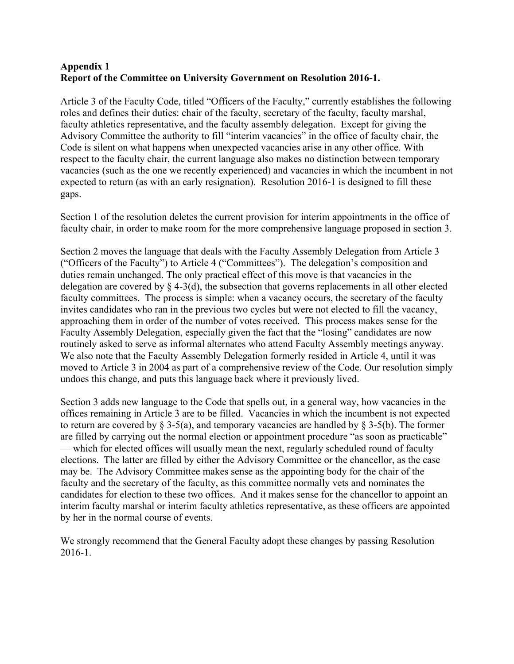# **Appendix 1 Report of the Committee on University Government on Resolution 2016-1.**

Article 3 of the Faculty Code, titled "Officers of the Faculty," currently establishes the following roles and defines their duties: chair of the faculty, secretary of the faculty, faculty marshal, faculty athletics representative, and the faculty assembly delegation. Except for giving the Advisory Committee the authority to fill "interim vacancies" in the office of faculty chair, the Code is silent on what happens when unexpected vacancies arise in any other office. With respect to the faculty chair, the current language also makes no distinction between temporary vacancies (such as the one we recently experienced) and vacancies in which the incumbent in not expected to return (as with an early resignation). Resolution 2016-1 is designed to fill these gaps.

Section 1 of the resolution deletes the current provision for interim appointments in the office of faculty chair, in order to make room for the more comprehensive language proposed in section 3.

Section 2 moves the language that deals with the Faculty Assembly Delegation from Article 3 ("Officers of the Faculty") to Article 4 ("Committees"). The delegation's composition and duties remain unchanged. The only practical effect of this move is that vacancies in the delegation are covered by § 4-3(d), the subsection that governs replacements in all other elected faculty committees. The process is simple: when a vacancy occurs, the secretary of the faculty invites candidates who ran in the previous two cycles but were not elected to fill the vacancy, approaching them in order of the number of votes received. This process makes sense for the Faculty Assembly Delegation, especially given the fact that the "losing" candidates are now routinely asked to serve as informal alternates who attend Faculty Assembly meetings anyway. We also note that the Faculty Assembly Delegation formerly resided in Article 4, until it was moved to Article 3 in 2004 as part of a comprehensive review of the Code. Our resolution simply undoes this change, and puts this language back where it previously lived.

Section 3 adds new language to the Code that spells out, in a general way, how vacancies in the offices remaining in Article 3 are to be filled. Vacancies in which the incumbent is not expected to return are covered by § 3-5(a), and temporary vacancies are handled by § 3-5(b). The former are filled by carrying out the normal election or appointment procedure "as soon as practicable" — which for elected offices will usually mean the next, regularly scheduled round of faculty elections. The latter are filled by either the Advisory Committee or the chancellor, as the case may be. The Advisory Committee makes sense as the appointing body for the chair of the faculty and the secretary of the faculty, as this committee normally vets and nominates the candidates for election to these two offices. And it makes sense for the chancellor to appoint an interim faculty marshal or interim faculty athletics representative, as these officers are appointed by her in the normal course of events.

We strongly recommend that the General Faculty adopt these changes by passing Resolution 2016-1.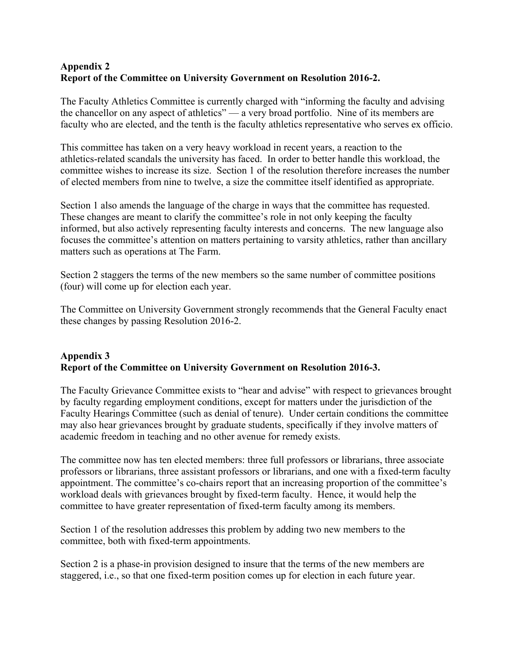# **Appendix 2 Report of the Committee on University Government on Resolution 2016-2.**

The Faculty Athletics Committee is currently charged with "informing the faculty and advising the chancellor on any aspect of athletics" — a very broad portfolio. Nine of its members are faculty who are elected, and the tenth is the faculty athletics representative who serves ex officio.

This committee has taken on a very heavy workload in recent years, a reaction to the athletics-related scandals the university has faced. In order to better handle this workload, the committee wishes to increase its size. Section 1 of the resolution therefore increases the number of elected members from nine to twelve, a size the committee itself identified as appropriate.

Section 1 also amends the language of the charge in ways that the committee has requested. These changes are meant to clarify the committee's role in not only keeping the faculty informed, but also actively representing faculty interests and concerns. The new language also focuses the committee's attention on matters pertaining to varsity athletics, rather than ancillary matters such as operations at The Farm.

Section 2 staggers the terms of the new members so the same number of committee positions (four) will come up for election each year.

The Committee on University Government strongly recommends that the General Faculty enact these changes by passing Resolution 2016-2.

# **Appendix 3 Report of the Committee on University Government on Resolution 2016-3.**

The Faculty Grievance Committee exists to "hear and advise" with respect to grievances brought by faculty regarding employment conditions, except for matters under the jurisdiction of the Faculty Hearings Committee (such as denial of tenure). Under certain conditions the committee may also hear grievances brought by graduate students, specifically if they involve matters of academic freedom in teaching and no other avenue for remedy exists.

The committee now has ten elected members: three full professors or librarians, three associate professors or librarians, three assistant professors or librarians, and one with a fixed-term faculty appointment. The committee's co-chairs report that an increasing proportion of the committee's workload deals with grievances brought by fixed-term faculty. Hence, it would help the committee to have greater representation of fixed-term faculty among its members.

Section 1 of the resolution addresses this problem by adding two new members to the committee, both with fixed-term appointments.

Section 2 is a phase-in provision designed to insure that the terms of the new members are staggered, i.e., so that one fixed-term position comes up for election in each future year.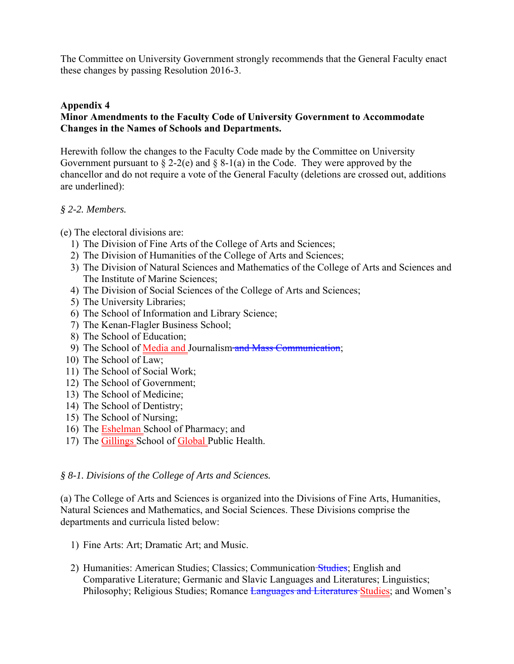The Committee on University Government strongly recommends that the General Faculty enact these changes by passing Resolution 2016-3.

## **Appendix 4**

# **Minor Amendments to the Faculty Code of University Government to Accommodate Changes in the Names of Schools and Departments.**

Herewith follow the changes to the Faculty Code made by the Committee on University Government pursuant to  $\S 2-2(e)$  and  $\S 8-1(a)$  in the Code. They were approved by the chancellor and do not require a vote of the General Faculty (deletions are crossed out, additions are underlined):

#### *§ 2-2. Members.*

(e) The electoral divisions are:

- 1) The Division of Fine Arts of the College of Arts and Sciences;
- 2) The Division of Humanities of the College of Arts and Sciences;
- 3) The Division of Natural Sciences and Mathematics of the College of Arts and Sciences and The Institute of Marine Sciences;
- 4) The Division of Social Sciences of the College of Arts and Sciences;
- 5) The University Libraries;
- 6) The School of Information and Library Science;
- 7) The Kenan-Flagler Business School;
- 8) The School of Education;
- 9) The School of Media and Journalism and Mass Communication;
- 10) The School of Law;
- 11) The School of Social Work;
- 12) The School of Government;
- 13) The School of Medicine;
- 14) The School of Dentistry;
- 15) The School of Nursing;
- 16) The Eshelman School of Pharmacy; and
- 17) The Gillings School of Global Public Health.

#### *§ 8-1. Divisions of the College of Arts and Sciences.*

(a) The College of Arts and Sciences is organized into the Divisions of Fine Arts, Humanities, Natural Sciences and Mathematics, and Social Sciences. These Divisions comprise the departments and curricula listed below:

- 1) Fine Arts: Art; Dramatic Art; and Music.
- 2) Humanities: American Studies; Classics; Communication Studies; English and Comparative Literature; Germanic and Slavic Languages and Literatures; Linguistics; Philosophy; Religious Studies; Romance Languages and Literatures Studies; and Women's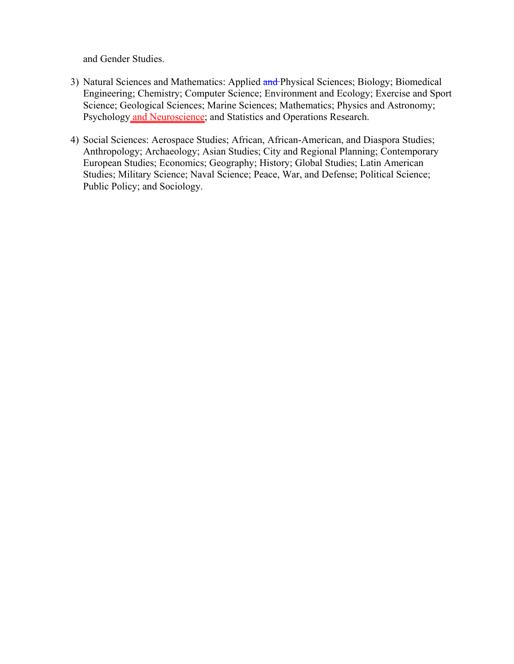and Gender Studies.

- 3) Natural Sciences and Mathematics: Applied and Physical Sciences; Biology; Biomedical Engineering; Chemistry; Computer Science; Environment and Ecology; Exercise and Sport Science; Geological Sciences; Marine Sciences; Mathematics; Physics and Astronomy; Psychology and Neuroscience; and Statistics and Operations Research.
- 4) Social Sciences: Aerospace Studies; African, African-American, and Diaspora Studies; Anthropology; Archaeology; Asian Studies; City and Regional Planning; Contemporary European Studies; Economics; Geography; History; Global Studies; Latin American Studies; Military Science; Naval Science; Peace, War, and Defense; Political Science; Public Policy; and Sociology.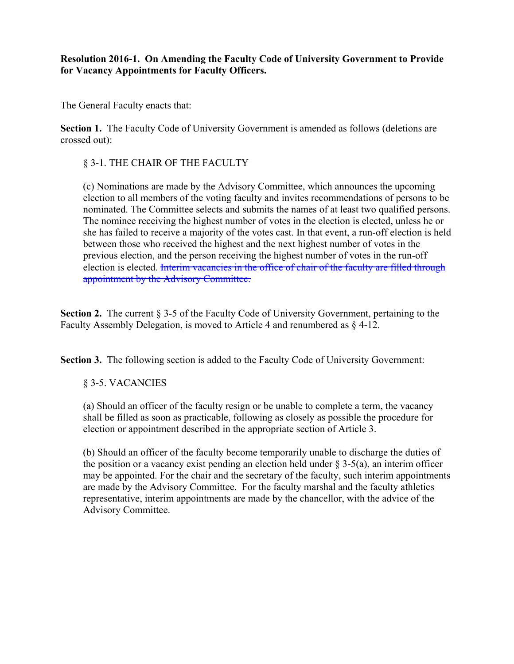**Resolution 2016-1. On Amending the Faculty Code of University Government to Provide for Vacancy Appointments for Faculty Officers.**

The General Faculty enacts that:

**Section 1.** The Faculty Code of University Government is amended as follows (deletions are crossed out):

§ 3-1. THE CHAIR OF THE FACULTY

 (c) Nominations are made by the Advisory Committee, which announces the upcoming election to all members of the voting faculty and invites recommendations of persons to be nominated. The Committee selects and submits the names of at least two qualified persons. The nominee receiving the highest number of votes in the election is elected, unless he or she has failed to receive a majority of the votes cast. In that event, a run-off election is held between those who received the highest and the next highest number of votes in the previous election, and the person receiving the highest number of votes in the run-off election is elected. Interim vacancies in the office of chair of the faculty are filled through appointment by the Advisory Committee.

**Section 2.** The current § 3-5 of the Faculty Code of University Government, pertaining to the Faculty Assembly Delegation, is moved to Article 4 and renumbered as § 4-12.

**Section 3.** The following section is added to the Faculty Code of University Government:

# § 3-5. VACANCIES

 (a) Should an officer of the faculty resign or be unable to complete a term, the vacancy shall be filled as soon as practicable, following as closely as possible the procedure for election or appointment described in the appropriate section of Article 3.

 (b) Should an officer of the faculty become temporarily unable to discharge the duties of the position or a vacancy exist pending an election held under  $\S$  3-5(a), an interim officer may be appointed. For the chair and the secretary of the faculty, such interim appointments are made by the Advisory Committee. For the faculty marshal and the faculty athletics representative, interim appointments are made by the chancellor, with the advice of the Advisory Committee.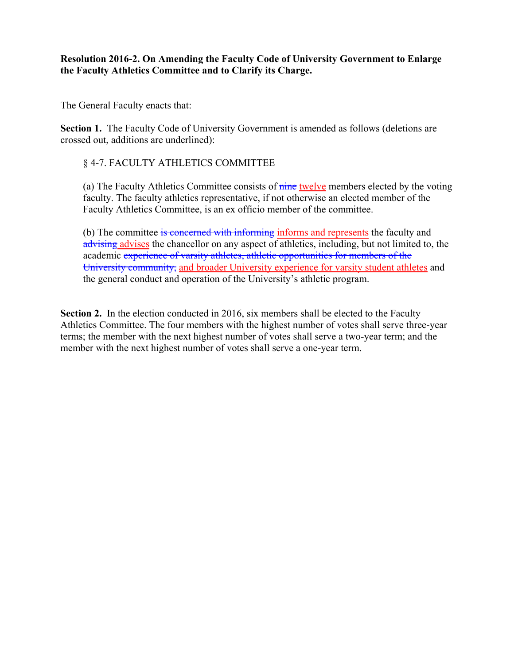## **Resolution 2016-2. On Amending the Faculty Code of University Government to Enlarge the Faculty Athletics Committee and to Clarify its Charge.**

The General Faculty enacts that:

**Section 1.** The Faculty Code of University Government is amended as follows (deletions are crossed out, additions are underlined):

§ 4-7. FACULTY ATHLETICS COMMITTEE

 (a) The Faculty Athletics Committee consists of nine twelve members elected by the voting faculty. The faculty athletics representative, if not otherwise an elected member of the Faculty Athletics Committee, is an ex officio member of the committee.

(b) The committee is concerned with informing informs and represents the faculty and advising advises the chancellor on any aspect of athletics, including, but not limited to, the academic experience of varsity athletes, athletic opportunities for members of the University community, and broader University experience for varsity student athletes and the general conduct and operation of the University's athletic program.

**Section 2.** In the election conducted in 2016, six members shall be elected to the Faculty Athletics Committee. The four members with the highest number of votes shall serve three-year terms; the member with the next highest number of votes shall serve a two-year term; and the member with the next highest number of votes shall serve a one-year term.